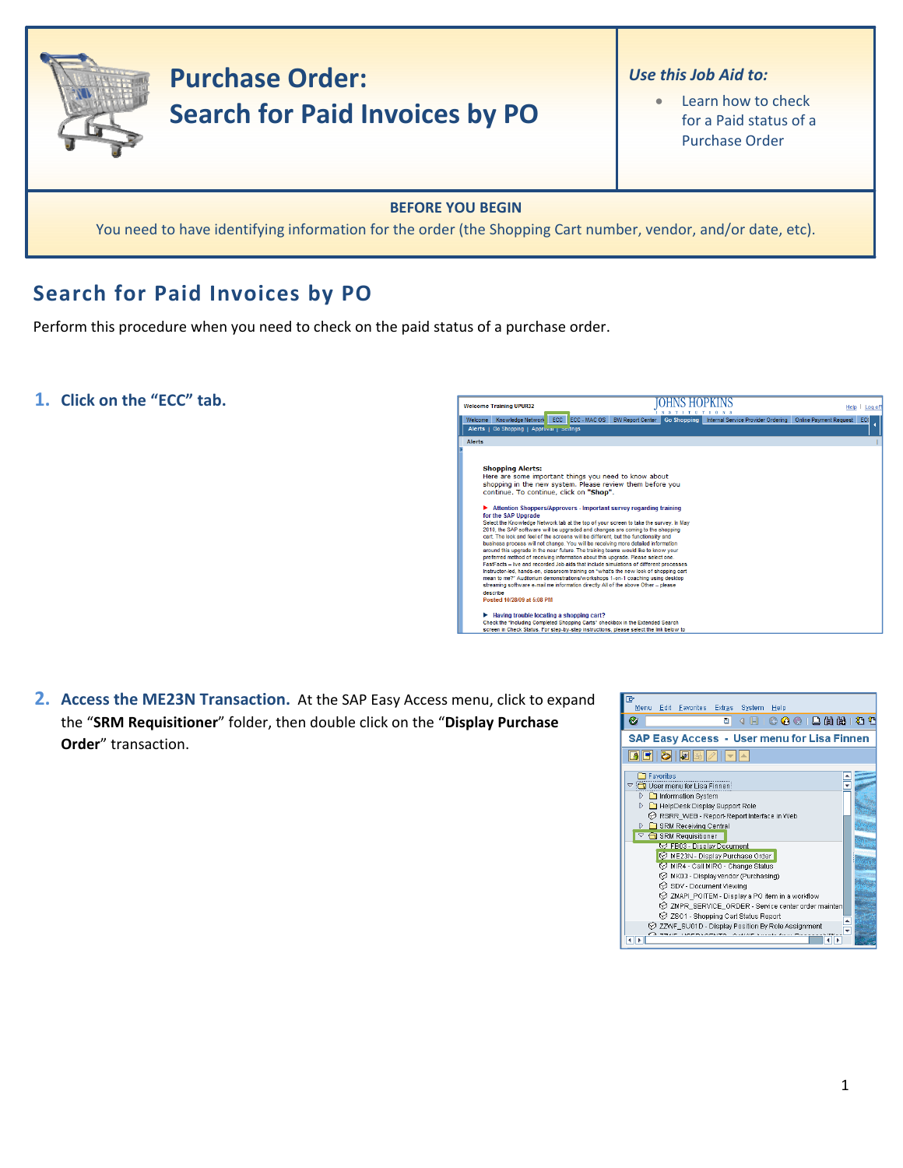

# **Search for Paid Invoices by PO**

Perform this procedure when you need to check on the paid status of a purchase order.

**1. Click on the "ECC" tab.**



**2. Access the ME23N Transaction.** At the SAP Easy Access menu, click to expand the "**SRM Requisitioner**" folder, then double click on the "**Display Purchase Order**" transaction.

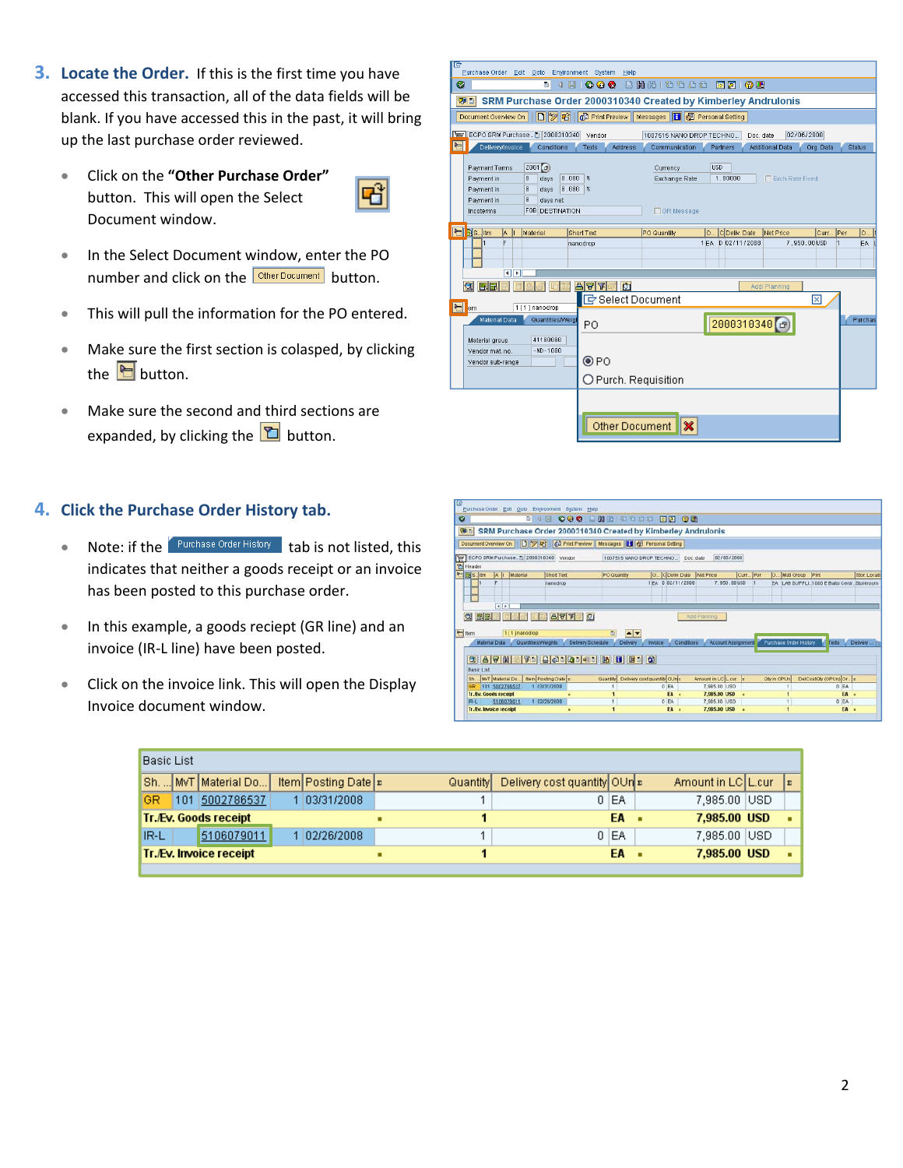- **3. Locate the Order.** If this is the first time you have accessed this transaction, all of the data fields will be blank. If you have accessed this in the past, it will bring up the last purchase order reviewed.
	- Click on the **"Other Purchase Order"** button. This will open the Select Document window.



- In the Select Document window, enter the PO number and click on the **Other Document** button.
- This will pull the information for the PO entered.
- Make sure the first section is colasped, by clicking the  $\blacksquare$  button.
- Make sure the second and third sections are expanded, by clicking the  $\Box$  button.

## **4. Click the Purchase Order History tab.**

- Note: if the  $\sqrt{\frac{Purchange Order History}{Purcharge}}$  tab is not listed, this indicates that neither a goods receipt or an invoice has been posted to this purchase order.
- In this example, a goods reciept (GR line) and an invoice (IR‐L line) have been posted.
- Click on the invoice link. This will open the Display Invoice document window.

| ाक<br>Purchase Order Edit Goto                                                                                               | Environment System Help                               |                                                         |                       |                        |                 |               |  |  |
|------------------------------------------------------------------------------------------------------------------------------|-------------------------------------------------------|---------------------------------------------------------|-----------------------|------------------------|-----------------|---------------|--|--|
| Ø<br>4 国<br>a I                                                                                                              |                                                       | <b>0001BHB189881777105</b>                              |                       |                        |                 |               |  |  |
| SRM Purchase Order 2000310340 Created by Kimberley Andrulonis<br>表回                                                          |                                                       |                                                         |                       |                        |                 |               |  |  |
| Document Overview On                                                                                                         |                                                       | D 9 円 6 Print Preview   Messages   日 6 Personal Setting |                       |                        |                 |               |  |  |
| THE ECPO SRM Purchase 2 2000310348                                                                                           | Vendor                                                | 1007515 NANO DROP TECHNO                                |                       | Doc. date              | 02/06/2008      |               |  |  |
| 日<br>Delivery/Invoice<br>Conditions                                                                                          | Texts<br><b>Address</b>                               | Communication                                           | Partners              | <b>Additional Data</b> | Org. Data       | <b>Status</b> |  |  |
| Z001 <sup>(a)</sup><br>Payment Terms<br>0.000<br>$\theta$<br>Payment in<br>days<br>$\theta$<br> 0.000 <br>Payment in<br>days | $\mathbf{\mathbf{\mathsf{x}}}$<br>$\pmb{\mathcal{X}}$ | Currency<br>Exchange Rate                               | <b>USD</b><br>1,00000 |                        | Exch.Rate Fixed |               |  |  |
| $\theta$<br>Payment in<br>days net<br><b>F0B DESTINATION</b><br>Incoterms                                                    |                                                       | □ GR Message                                            |                       |                        |                 |               |  |  |
| <b>P</b> 35. Itm<br>IA.<br>Material                                                                                          | Short Text                                            | PO Quantity                                             | C Deliv. Date<br>lo   | Net Price              | Curr            | Per<br>O      |  |  |
| F<br>ना⊧                                                                                                                     | nanodrop                                              |                                                         | 1 EA D 02/11/2008     |                        | 7.950.00USD     | h<br>EA.      |  |  |
| <b>BE</b><br>$\alpha$                                                                                                        | 모습스<br>门                                              |                                                         |                       | Addl Planning          |                 |               |  |  |
|                                                                                                                              | G Select Document                                     |                                                         |                       |                        | ⊠               |               |  |  |
| $\blacktriangleright$<br>1 [1] nanodrop<br>lem<br>Material Data<br>Quantities/Weigt                                          | PO.                                                   |                                                         |                       | 2000310340             |                 | Purchas       |  |  |
| 41100000<br>Material group<br>$-ND - 1000$<br>Vendor mat. no.<br>Vendor sub-range                                            | ◉PO                                                   |                                                         |                       |                        |                 |               |  |  |
|                                                                                                                              | O Purch. Requisition                                  |                                                         |                       |                        |                 |               |  |  |
|                                                                                                                              |                                                       |                                                         |                       |                        |                 |               |  |  |
|                                                                                                                              | Other Document                                        | ×                                                       |                       |                        |                 |               |  |  |

| 107 |                                 |                      |                         |               | Purchase Order Edit Octo Environment System Help |       |                   |                    |                                     |                |      |                   |                                                               |             |            |             |                        |                                             |      |             |
|-----|---------------------------------|----------------------|-------------------------|---------------|--------------------------------------------------|-------|-------------------|--------------------|-------------------------------------|----------------|------|-------------------|---------------------------------------------------------------|-------------|------------|-------------|------------------------|---------------------------------------------|------|-------------|
| ø   |                                 |                      |                         |               |                                                  |       |                   |                    | 1 4 9 000 000 000 000 000           |                |      |                   |                                                               |             |            |             |                        |                                             |      |             |
|     | 御田                              |                      |                         |               |                                                  |       |                   |                    |                                     |                |      |                   | SRM Purchase Order 2000310340 Created by Kimberley Andrulonis |             |            |             |                        |                                             |      |             |
|     |                                 |                      |                         |               |                                                  |       |                   |                    |                                     |                |      |                   |                                                               |             |            |             |                        |                                             |      |             |
|     | <sup>2</sup> Header             |                      |                         |               | THE ECPO SRM Purchase 1 2000310340 Vendor        |       |                   |                    | 1007515 NANO DROP TECHNO_ Doc. date |                |      |                   |                                                               | 82/86/2888  |            |             |                        |                                             |      |             |
|     | $ \mathbb{H}$ s. $\mathbb{H}$ m |                      |                         | A    Material | <b>Short Text</b>                                |       |                   | <b>PO Quantity</b> |                                     |                |      | O. COeiw Date     | Met Price                                                     |             | Curr   Per |             | O. Mall Group          | <b>IPIrd</b>                                |      | Stor. Locat |
|     |                                 |                      | $\left  \cdot \right $  |               | nanodrop                                         |       |                   |                    |                                     |                |      | 1 FA D 02/11/2000 |                                                               | 7,950.00USD |            |             |                        | EA LAB SUPPLI_1000 E Balto Centr. Storeroom |      |             |
|     | G<br>$H$ hem                    | 同国                   |                         | 1111nanodrop  |                                                  | APT 0 |                   | a                  | $\sim$ $\sim$                       |                |      |                   | April Flatining                                               |             |            |             |                        |                                             |      |             |
|     |                                 | <b>Material Data</b> |                         |               | Quantities/Weights                               |       | Delivery Schedule |                    | Delivery                            | <b>Invoice</b> |      | Conditions        | Account Assignment                                            |             |            |             | Purchase Order History | Texts                                       |      | Delivery.   |
|     |                                 | <b>Basic List</b>    |                         |               |                                                  |       |                   |                    | <b>G AVM YD BODDDED B U B O</b>     |                |      |                   |                                                               |             |            |             |                        |                                             |      |             |
|     | Sh.                             |                      | MyT Material Do.        |               | <b>Item Posting Date x</b>                       |       |                   | Guantin            | Delivery cost quantity OUn =        |                |      |                   | Amount in LC L cur  z                                         |             |            | Oly in OPUn |                        | DelCostOly (OPUn) Or =                      |      |             |
|     |                                 |                      | 101 5002786537          |               | 1 03/31/2008                                     |       |                   |                    |                                     |                | 0 EA |                   | 7,985.00 USD                                                  |             |            |             |                        | 0 EA                                        |      |             |
|     |                                 |                      | Tr. Ev. Goods receipt   |               |                                                  |       |                   |                    |                                     |                | EA   |                   | 7,985.00 USD                                                  |             |            |             |                        |                                             | EA - |             |
|     | $IR-L$                          |                      | 5106079011              |               | 1 02/26/2008                                     |       |                   |                    |                                     |                | 0 EA |                   | 7,905.00 USD                                                  |             |            |             | $\mathbf{1}$           | O EA                                        |      |             |
|     |                                 |                      | Tr. Ev. Invoice receipt |               |                                                  |       |                   |                    |                                     |                | FA - |                   | 7,985.00 USD                                                  |             |            |             |                        |                                             | EA . |             |

| Basic List                   |     |                                |  |                       |   |          |                              |                                                                                                              |   |  |  |   |
|------------------------------|-----|--------------------------------|--|-----------------------|---|----------|------------------------------|--------------------------------------------------------------------------------------------------------------|---|--|--|---|
|                              |     | Sh.  MVT   Material Do         |  | Item Posting Date   ⊵ |   | Quantity | Delivery cost quantity OUn ≥ |                                                                                                              |   |  |  | E |
| GR                           | 101 | 5002786537                     |  | 03/31/2008            |   |          |                              |                                                                                                              |   |  |  |   |
| <b>Tr./Ev. Goods receipt</b> |     |                                |  |                       |   |          |                              | EA                                                                                                           | ٠ |  |  |   |
| <b>IR-L</b>                  |     | 5106079011                     |  | 02/26/2008            |   |          |                              |                                                                                                              |   |  |  |   |
|                              |     | <b>Tr./Ev. Invoice receipt</b> |  |                       | ▪ |          |                              | Amount in LCIL.cur<br>7,985.00 USD<br>0 EA<br>7,985.00 USD<br>7,985.00 USD<br>$0$ IEA<br>7,985.00 USD<br>EA. |   |  |  |   |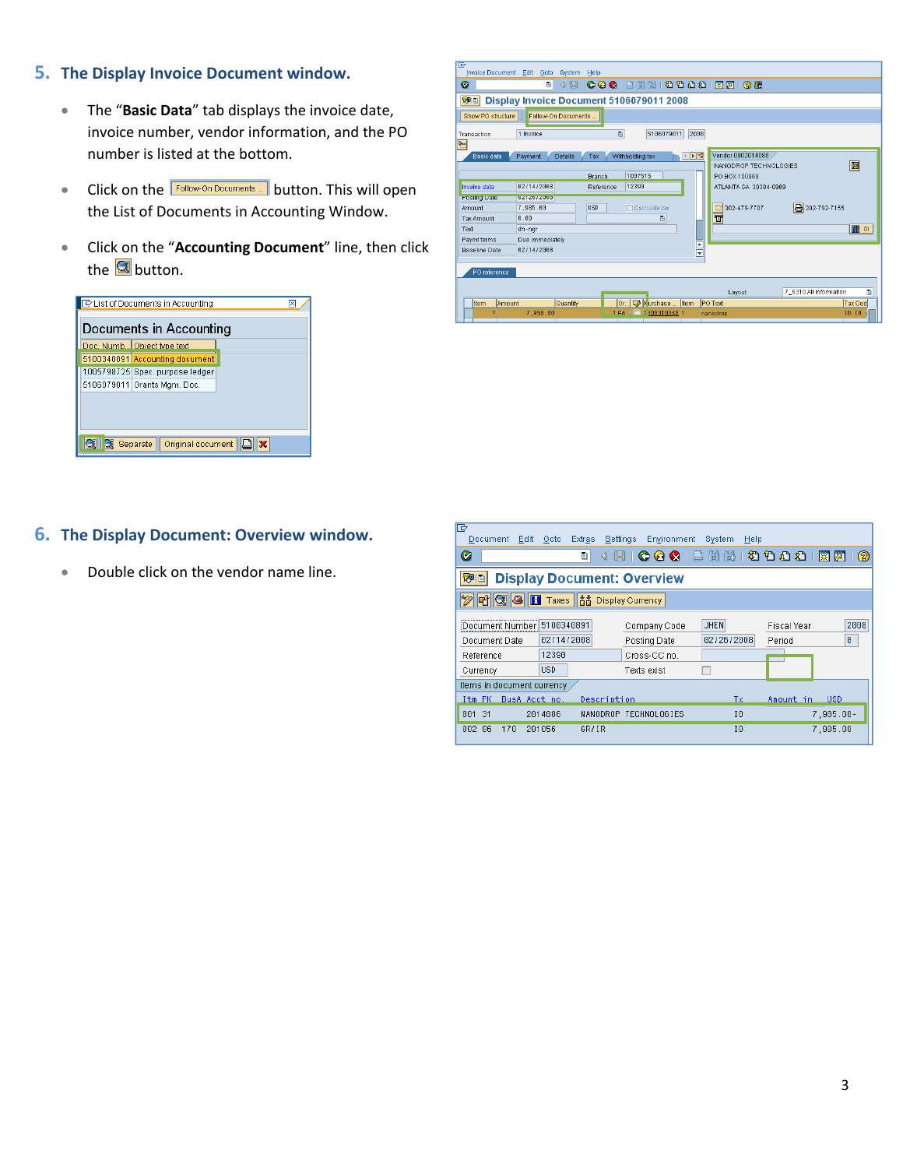## **5. The Display Invoice Document window.**

- The "**Basic Data**" tab displays the invoice date, invoice number, vendor information, and the PO number is listed at the bottom.
- Click on the **Follow-On Documents** button. This will open the List of Documents in Accounting Window.
- Click on the "**Accounting Document**" line, then click the  $\overline{\mathbf{S}}$  button.

| E List of Documents in Accounting<br>⊠<br>Documents in Accounting |                                               |  |  |  |  |  |  |  |  |  |  |
|-------------------------------------------------------------------|-----------------------------------------------|--|--|--|--|--|--|--|--|--|--|
|                                                                   | Doc. Numb Object type text                    |  |  |  |  |  |  |  |  |  |  |
|                                                                   | 5100340891 Accounting document                |  |  |  |  |  |  |  |  |  |  |
|                                                                   | 1005798725 Spec. purpose ledger               |  |  |  |  |  |  |  |  |  |  |
|                                                                   | 5106079011 Grants Mgm. Doc.                   |  |  |  |  |  |  |  |  |  |  |
|                                                                   |                                               |  |  |  |  |  |  |  |  |  |  |
|                                                                   | $\mathbf{x}$<br>Original document<br>Separate |  |  |  |  |  |  |  |  |  |  |

| Ø<br>別回                                                                                           | Display Invoice Document 5106079011 2008                                                                                                                                                     |
|---------------------------------------------------------------------------------------------------|----------------------------------------------------------------------------------------------------------------------------------------------------------------------------------------------|
| Show PO structure                                                                                 | Follow-On Documents                                                                                                                                                                          |
| Transaction<br>$\sum_{i=1}^{n}$                                                                   | $\overline{a}$<br>5106079011<br>2008<br>1 Invoice                                                                                                                                            |
| Basic data                                                                                        | Vendor 0002014086<br>←▶性<br>Withholding tax<br>Payment<br>Details<br>Tax<br>圖<br>NANODROP TECHNOLOGIES<br>1007515<br><b>Branch</b><br>PO BOX 100969                                          |
| Invoice date                                                                                      | 02/14/2008<br>12390<br>ATI ANTA GA 30384-0969<br>Reference                                                                                                                                   |
| <b>POSting Date</b><br>Amount<br><b>Tax Amount</b><br>Text<br>Paymt terms<br><b>Baseline Date</b> | 0272072006<br><b>8</b> 302-792-7155<br><b>USD</b><br>7.985.00<br>302-479-7707<br>Calculate tax<br>$\overline{\mathbf{v}}$<br>0.00<br>画<br>田이<br>dh-ngr<br>Due immediately<br>ŧ<br>02/14/2008 |
| PO reference<br>Item<br>Amount                                                                    | 7 6310 All information<br>Lavout<br>Or <b>D</b> Furchase  Item<br><b>PO</b> Text<br>Quantity<br>Tax Cod<br>7,950.00<br>2 300310340 1<br>10 10<br>1EA<br>nanodrop                             |

## **6. The Display Document: Overview window.**

• Double click on the vendor name line.

| 叵<br>Edit<br>Document                                                                   | <b>Extras</b><br>Goto | Environment<br>Settings | System<br>Help |                             |            |  |  |  |  |  |  |  |
|-----------------------------------------------------------------------------------------|-----------------------|-------------------------|----------------|-----------------------------|------------|--|--|--|--|--|--|--|
| Ø                                                                                       | ū<br>⊲                | Ш                       |                | 000 B H H H H D D D D H F F | 2          |  |  |  |  |  |  |  |
| 別日<br><b>Display Document: Overview</b>                                                 |                       |                         |                |                             |            |  |  |  |  |  |  |  |
| 古 Display Currency<br><b>머 이 의</b><br><b>H</b> Taxes                                    |                       |                         |                |                             |            |  |  |  |  |  |  |  |
| 2008<br>Document Number 5100340891<br><b>JHEN</b><br>Company Code<br><b>Fiscal Year</b> |                       |                         |                |                             |            |  |  |  |  |  |  |  |
| Document Date                                                                           | 82/14/2888            | Posting Date            | 02/26/2008     | 8                           |            |  |  |  |  |  |  |  |
| Reference                                                                               | 12390                 | Cross-CC no.            |                |                             |            |  |  |  |  |  |  |  |
| Currency                                                                                | <b>USD</b>            | Texts exist             |                |                             |            |  |  |  |  |  |  |  |
| Items in document currency                                                              |                       |                         |                |                             |            |  |  |  |  |  |  |  |
| BusA Acct no.<br>Itm PK                                                                 | Description           |                         | Tχ             | Amount in                   | <b>USD</b> |  |  |  |  |  |  |  |
| 31<br>001                                                                               | 2014086               | NANODROP TECHNOLOGIES   | 10             |                             | 7.985.00-  |  |  |  |  |  |  |  |
| 86<br>178<br>882                                                                        | 201056<br>GR/IR       |                         | 10             | 7,985.00                    |            |  |  |  |  |  |  |  |
|                                                                                         |                       |                         |                |                             |            |  |  |  |  |  |  |  |